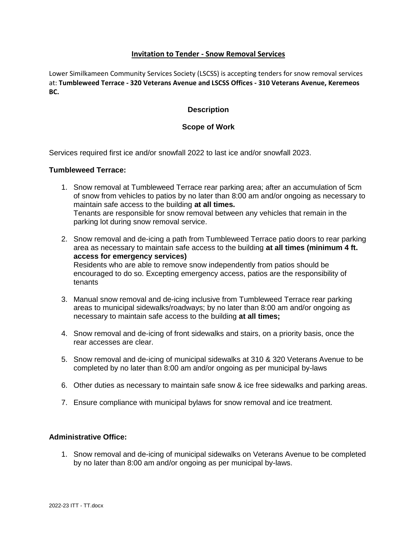# **Invitation to Tender - Snow Removal Services**

Lower Similkameen Community Services Society (LSCSS) is accepting tenders for snow removal services at: **Tumbleweed Terrace - 320 Veterans Avenue and LSCSS Offices - 310 Veterans Avenue, Keremeos BC.**

## **Description**

### **Scope of Work**

Services required first ice and/or snowfall 2022 to last ice and/or snowfall 2023.

#### **Tumbleweed Terrace:**

- 1. Snow removal at Tumbleweed Terrace rear parking area; after an accumulation of 5cm of snow from vehicles to patios by no later than 8:00 am and/or ongoing as necessary to maintain safe access to the building **at all times.** Tenants are responsible for snow removal between any vehicles that remain in the parking lot during snow removal service.
- 2. Snow removal and de-icing a path from Tumbleweed Terrace patio doors to rear parking area as necessary to maintain safe access to the building **at all times (minimum 4 ft. access for emergency services)** Residents who are able to remove snow independently from patios should be encouraged to do so. Excepting emergency access, patios are the responsibility of tenants
- 3. Manual snow removal and de-icing inclusive from Tumbleweed Terrace rear parking areas to municipal sidewalks/roadways; by no later than 8:00 am and/or ongoing as necessary to maintain safe access to the building **at all times;**
- 4. Snow removal and de-icing of front sidewalks and stairs, on a priority basis, once the rear accesses are clear.
- 5. Snow removal and de-icing of municipal sidewalks at 310 & 320 Veterans Avenue to be completed by no later than 8:00 am and/or ongoing as per municipal by-laws
- 6. Other duties as necessary to maintain safe snow & ice free sidewalks and parking areas.
- 7. Ensure compliance with municipal bylaws for snow removal and ice treatment.

### **Administrative Office:**

1. Snow removal and de-icing of municipal sidewalks on Veterans Avenue to be completed by no later than 8:00 am and/or ongoing as per municipal by-laws.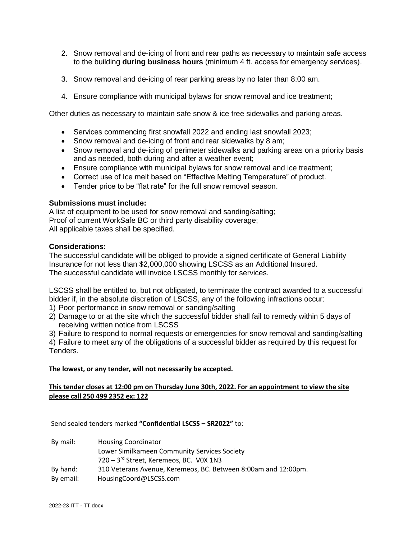- 2. Snow removal and de-icing of front and rear paths as necessary to maintain safe access to the building **during business hours** (minimum 4 ft. access for emergency services).
- 3. Snow removal and de-icing of rear parking areas by no later than 8:00 am.
- 4. Ensure compliance with municipal bylaws for snow removal and ice treatment;

Other duties as necessary to maintain safe snow & ice free sidewalks and parking areas.

- Services commencing first snowfall 2022 and ending last snowfall 2023;
- Snow removal and de-icing of front and rear sidewalks by 8 am;
- Snow removal and de-icing of perimeter sidewalks and parking areas on a priority basis and as needed, both during and after a weather event;
- Ensure compliance with municipal bylaws for snow removal and ice treatment;
- Correct use of Ice melt based on "Effective Melting Temperature" of product.
- Tender price to be "flat rate" for the full snow removal season.

#### **Submissions must include:**

A list of equipment to be used for snow removal and sanding/salting; Proof of current WorkSafe BC or third party disability coverage; All applicable taxes shall be specified.

### **Considerations:**

The successful candidate will be obliged to provide a signed certificate of General Liability Insurance for not less than \$2,000,000 showing LSCSS as an Additional Insured. The successful candidate will invoice LSCSS monthly for services.

LSCSS shall be entitled to, but not obligated, to terminate the contract awarded to a successful bidder if, in the absolute discretion of LSCSS, any of the following infractions occur:

- 1) Poor performance in snow removal or sanding/salting
- 2) Damage to or at the site which the successful bidder shall fail to remedy within 5 days of receiving written notice from LSCSS

3) Failure to respond to normal requests or emergencies for snow removal and sanding/salting

4) Failure to meet any of the obligations of a successful bidder as required by this request for Tenders.

**The lowest, or any tender, will not necessarily be accepted.**

### **This tender closes at 12:00 pm on Thursday June 30th, 2022. For an appointment to view the site please call 250 499 2352 ex: 122**

Send sealed tenders marked **"Confidential LSCSS – SR2022"** to:

| By mail:  | <b>Housing Coordinator</b>                                     |
|-----------|----------------------------------------------------------------|
|           | Lower Similkameen Community Services Society                   |
|           | 720 - 3rd Street, Keremeos, BC. VOX 1N3                        |
| By hand:  | 310 Veterans Avenue, Keremeos, BC. Between 8:00am and 12:00pm. |
| By email: | HousingCoord@LSCSS.com                                         |